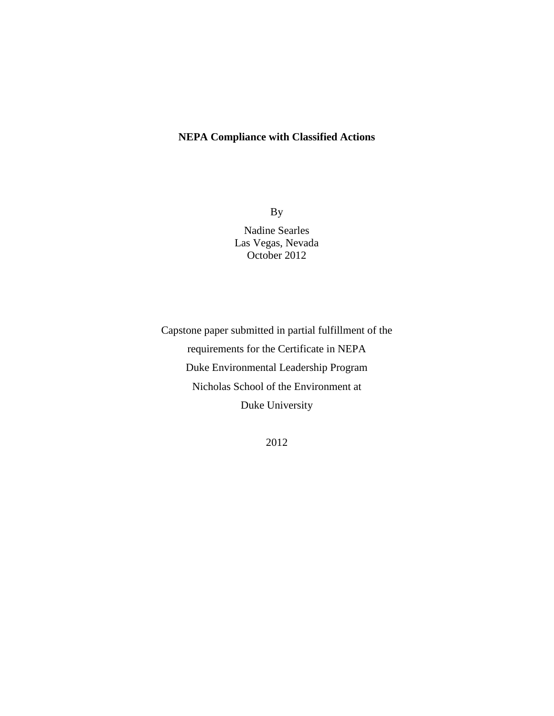## **NEPA Compliance with Classified Actions**

By Nadine Searles Las Vegas, Nevada October 2012

Capstone paper submitted in partial fulfillment of the requirements for the Certificate in NEPA Duke Environmental Leadership Program Nicholas School of the Environment at Duke University

2012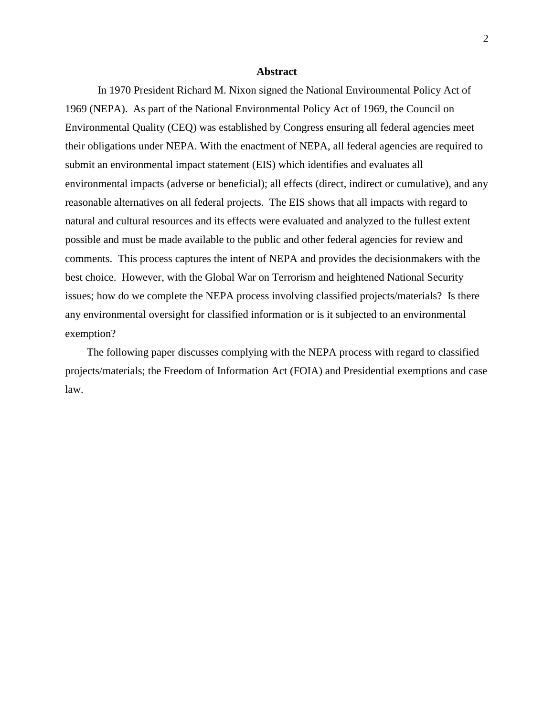#### **Abstract**

In 1970 President Richard M. Nixon signed the National Environmental Policy Act of 1969 (NEPA). As part of the National Environmental Policy Act of 1969, the Council on Environmental Quality (CEQ) was established by Congress ensuring all federal agencies meet their obligations under NEPA. With the enactment of NEPA, all federal agencies are required to submit an environmental impact statement (EIS) which identifies and evaluates all environmental impacts (adverse or beneficial); all effects (direct, indirect or cumulative), and any reasonable alternatives on all federal projects. The EIS shows that all impacts with regard to natural and cultural resources and its effects were evaluated and analyzed to the fullest extent possible and must be made available to the public and other federal agencies for review and comments. This process captures the intent of NEPA and provides the decisionmakers with the best choice. However, with the Global War on Terrorism and heightened National Security issues; how do we complete the NEPA process involving classified projects/materials? Is there any environmental oversight for classified information or is it subjected to an environmental exemption?

 The following paper discusses complying with the NEPA process with regard to classified projects/materials; the Freedom of Information Act (FOIA) and Presidential exemptions and case law.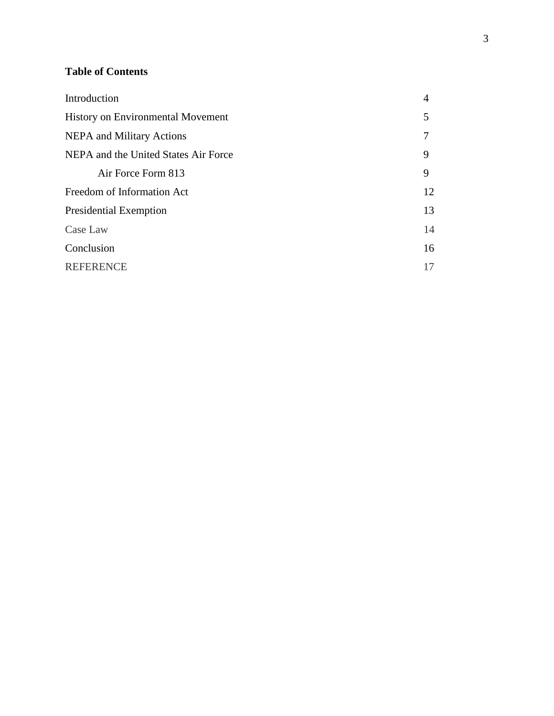# **Table of Contents**

| Introduction                             | $\overline{4}$ |
|------------------------------------------|----------------|
| <b>History on Environmental Movement</b> | 5              |
| <b>NEPA</b> and Military Actions         |                |
| NEPA and the United States Air Force     | 9              |
| Air Force Form 813                       | 9              |
| Freedom of Information Act               | 12             |
| <b>Presidential Exemption</b>            | 13             |
| Case Law                                 | 14             |
| Conclusion                               | 16             |
| <b>REFERENCE</b>                         | 17             |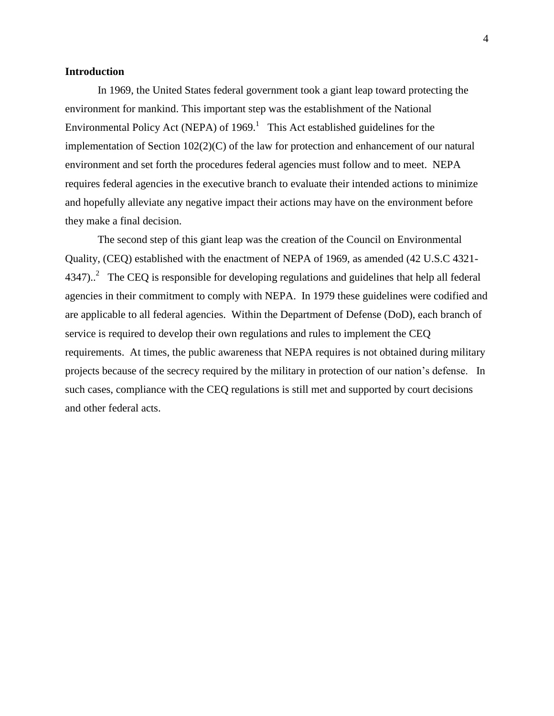#### **Introduction**

In 1969, the United States federal government took a giant leap toward protecting the environment for mankind. This important step was the establishment of the National Environmental Policy Act (NEPA) of  $1969<sup>1</sup>$ . This Act established guidelines for the implementation of Section 102(2)(C) of the law for protection and enhancement of our natural environment and set forth the procedures federal agencies must follow and to meet. NEPA requires federal agencies in the executive branch to evaluate their intended actions to minimize and hopefully alleviate any negative impact their actions may have on the environment before they make a final decision.

The second step of this giant leap was the creation of the Council on Environmental Quality, (CEQ) established with the enactment of NEPA of 1969, as amended (42 U.S.C 4321- 4347)..<sup>2</sup> The CEQ is responsible for developing regulations and guidelines that help all federal agencies in their commitment to comply with NEPA. In 1979 these guidelines were codified and are applicable to all federal agencies. Within the Department of Defense (DoD), each branch of service is required to develop their own regulations and rules to implement the CEQ requirements. At times, the public awareness that NEPA requires is not obtained during military projects because of the secrecy required by the military in protection of our nation's defense. In such cases, compliance with the CEQ regulations is still met and supported by court decisions and other federal acts.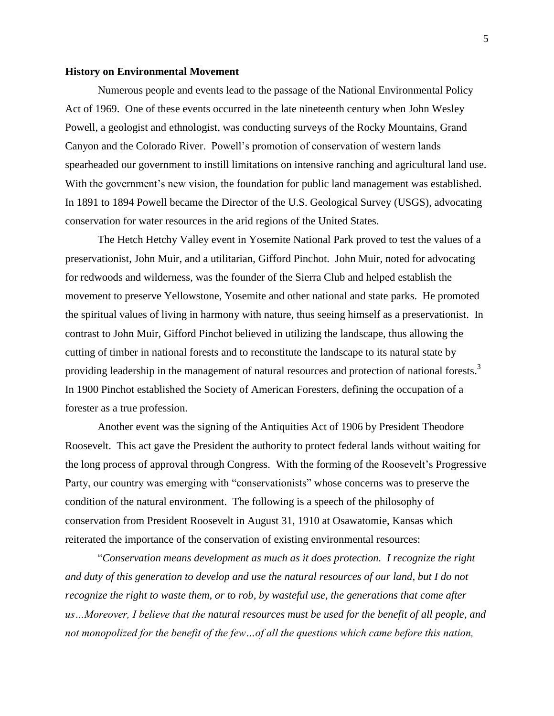#### **History on Environmental Movement**

Numerous people and events lead to the passage of the National Environmental Policy Act of 1969. One of these events occurred in the late nineteenth century when John Wesley Powell, a geologist and ethnologist, was conducting surveys of the Rocky Mountains, Grand Canyon and the Colorado River. Powell's promotion of conservation of western lands spearheaded our government to instill limitations on intensive ranching and agricultural land use. With the government's new vision, the foundation for public land management was established. In 1891 to 1894 Powell became the Director of the U.S. Geological Survey (USGS), advocating conservation for water resources in the arid regions of the United States.

The Hetch Hetchy Valley event in Yosemite National Park proved to test the values of a preservationist, John Muir, and a utilitarian, Gifford Pinchot. John Muir, noted for advocating for redwoods and wilderness, was the founder of the Sierra Club and helped establish the movement to preserve Yellowstone, Yosemite and other national and state parks. He promoted the spiritual values of living in harmony with nature, thus seeing himself as a preservationist. In contrast to John Muir, Gifford Pinchot believed in utilizing the landscape, thus allowing the cutting of timber in national forests and to reconstitute the landscape to its natural state by providing leadership in the management of natural resources and protection of national forests.<sup>3</sup> In 1900 Pinchot established the Society of American Foresters, defining the occupation of a forester as a true profession.

Another event was the signing of the Antiquities Act of 1906 by President Theodore Roosevelt. This act gave the President the authority to protect federal lands without waiting for the long process of approval through Congress. With the forming of the Roosevelt's Progressive Party, our country was emerging with "conservationists" whose concerns was to preserve the condition of the natural environment. The following is a speech of the philosophy of conservation from President Roosevelt in August 31, 1910 at Osawatomie, Kansas which reiterated the importance of the conservation of existing environmental resources:

"*Conservation means development as much as it does protection. I recognize the right and duty of this generation to develop and use the natural resources of our land, but I do not recognize the right to waste them, or to rob, by wasteful use, the generations that come after us…Moreover, I believe that the natural resources must be used for the benefit of all people, and not monopolized for the benefit of the few…of all the questions which came before this nation,*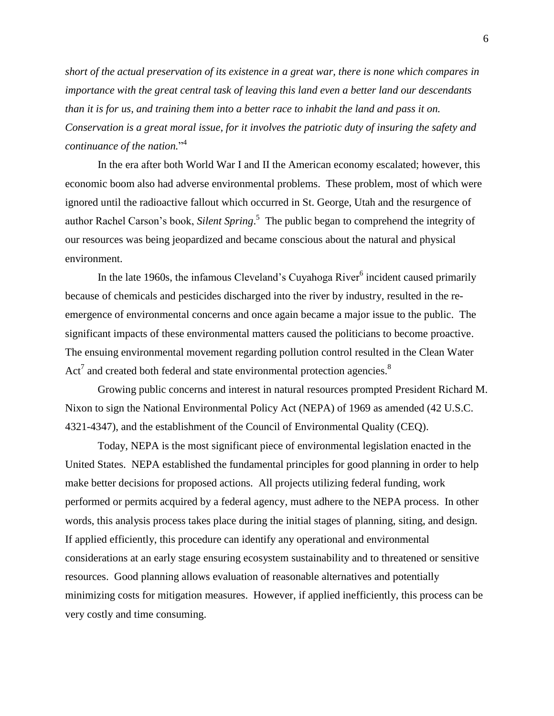*short of the actual preservation of its existence in a great war, there is none which compares in importance with the great central task of leaving this land even a better land our descendants than it is for us, and training them into a better race to inhabit the land and pass it on. Conservation is a great moral issue, for it involves the patriotic duty of insuring the safety and continuance of the nation.*" 4

In the era after both World War I and II the American economy escalated; however, this economic boom also had adverse environmental problems. These problem, most of which were ignored until the radioactive fallout which occurred in St. George, Utah and the resurgence of author Rachel Carson's book, *Silent Spring*. 5 The public began to comprehend the integrity of our resources was being jeopardized and became conscious about the natural and physical environment.

In the late 1960s, the infamous Cleveland's Cuyahoga River<sup>6</sup> incident caused primarily because of chemicals and pesticides discharged into the river by industry, resulted in the reemergence of environmental concerns and once again became a major issue to the public. The significant impacts of these environmental matters caused the politicians to become proactive. The ensuing environmental movement regarding pollution control resulted in the Clean Water Act<sup>7</sup> and created both federal and state environmental protection agencies.<sup>8</sup>

Growing public concerns and interest in natural resources prompted President Richard M. Nixon to sign the National Environmental Policy Act (NEPA) of 1969 as amended (42 U.S.C. 4321-4347), and the establishment of the Council of Environmental Quality (CEQ).

Today, NEPA is the most significant piece of environmental legislation enacted in the United States. NEPA established the fundamental principles for good planning in order to help make better decisions for proposed actions. All projects utilizing federal funding, work performed or permits acquired by a federal agency, must adhere to the NEPA process. In other words, this analysis process takes place during the initial stages of planning, siting, and design. If applied efficiently, this procedure can identify any operational and environmental considerations at an early stage ensuring ecosystem sustainability and to threatened or sensitive resources. Good planning allows evaluation of reasonable alternatives and potentially minimizing costs for mitigation measures. However, if applied inefficiently, this process can be very costly and time consuming.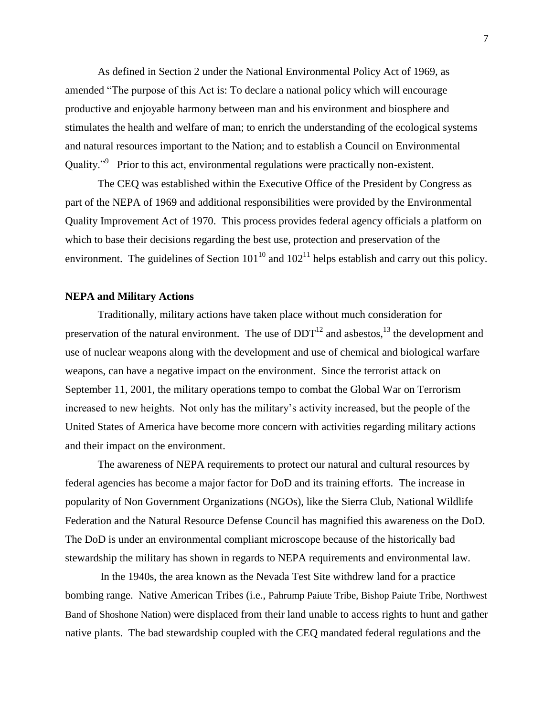As defined in Section 2 under the National Environmental Policy Act of 1969, as amended "The purpose of this Act is: To declare a national policy which will encourage productive and enjoyable harmony between man and his environment and biosphere and stimulates the health and welfare of man; to enrich the understanding of the ecological systems and natural resources important to the Nation; and to establish a Council on Environmental Quality."<sup>9</sup> Prior to this act, environmental regulations were practically non-existent.

The CEQ was established within the Executive Office of the President by Congress as part of the NEPA of 1969 and additional responsibilities were provided by the Environmental Quality Improvement Act of 1970. This process provides federal agency officials a platform on which to base their decisions regarding the best use, protection and preservation of the environment. The guidelines of Section  $101^{10}$  and  $102^{11}$  helps establish and carry out this policy.

#### **NEPA and Military Actions**

Traditionally, military actions have taken place without much consideration for preservation of the natural environment. The use of  $DDT<sup>12</sup>$  and asbestos,  $<sup>13</sup>$  the development and</sup> use of nuclear weapons along with the development and use of chemical and biological warfare weapons, can have a negative impact on the environment. Since the terrorist attack on September 11, 2001, the military operations tempo to combat the Global War on Terrorism increased to new heights. Not only has the military's activity increased, but the people of the United States of America have become more concern with activities regarding military actions and their impact on the environment.

The awareness of NEPA requirements to protect our natural and cultural resources by federal agencies has become a major factor for DoD and its training efforts. The increase in popularity of Non Government Organizations (NGOs), like the Sierra Club, National Wildlife Federation and the Natural Resource Defense Council has magnified this awareness on the DoD. The DoD is under an environmental compliant microscope because of the historically bad stewardship the military has shown in regards to NEPA requirements and environmental law.

In the 1940s, the area known as the Nevada Test Site withdrew land for a practice bombing range. Native American Tribes (i.e., Pahrump Paiute Tribe, Bishop Paiute Tribe, Northwest Band of Shoshone Nation) were displaced from their land unable to access rights to hunt and gather native plants. The bad stewardship coupled with the CEQ mandated federal regulations and the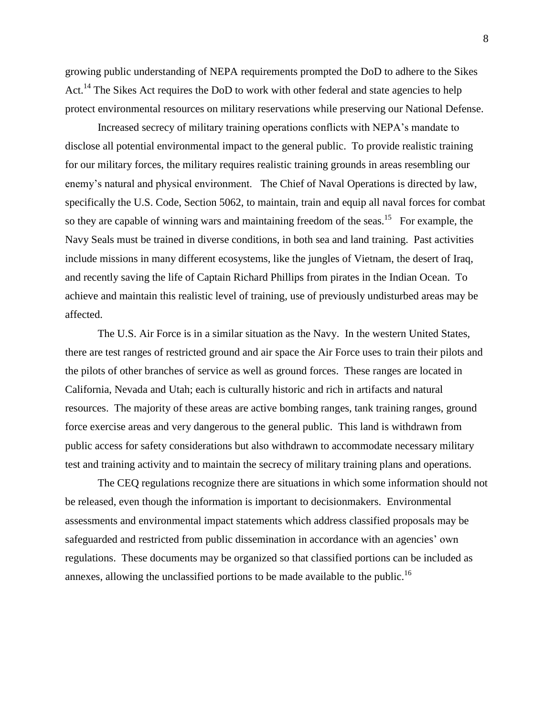growing public understanding of NEPA requirements prompted the DoD to adhere to the Sikes Act.<sup>14</sup> The Sikes Act requires the DoD to work with other federal and state agencies to help protect environmental resources on military reservations while preserving our National Defense.

Increased secrecy of military training operations conflicts with NEPA's mandate to disclose all potential environmental impact to the general public. To provide realistic training for our military forces, the military requires realistic training grounds in areas resembling our enemy's natural and physical environment. The Chief of Naval Operations is directed by law, specifically the U.S. Code, Section 5062, to maintain, train and equip all naval forces for combat so they are capable of winning wars and maintaining freedom of the seas.<sup>15</sup> For example, the Navy Seals must be trained in diverse conditions, in both sea and land training. Past activities include missions in many different ecosystems, like the jungles of Vietnam, the desert of Iraq, and recently saving the life of Captain Richard Phillips from pirates in the Indian Ocean. To achieve and maintain this realistic level of training, use of previously undisturbed areas may be affected.

The U.S. Air Force is in a similar situation as the Navy. In the western United States, there are test ranges of restricted ground and air space the Air Force uses to train their pilots and the pilots of other branches of service as well as ground forces. These ranges are located in California, Nevada and Utah; each is culturally historic and rich in artifacts and natural resources. The majority of these areas are active bombing ranges, tank training ranges, ground force exercise areas and very dangerous to the general public. This land is withdrawn from public access for safety considerations but also withdrawn to accommodate necessary military test and training activity and to maintain the secrecy of military training plans and operations.

The CEQ regulations recognize there are situations in which some information should not be released, even though the information is important to decisionmakers.Environmental assessments and environmental impact statements which address classified proposals may be safeguarded and restricted from public dissemination in accordance with an agencies' own regulations. These documents may be organized so that classified portions can be included as annexes, allowing the unclassified portions to be made available to the public.<sup>16</sup>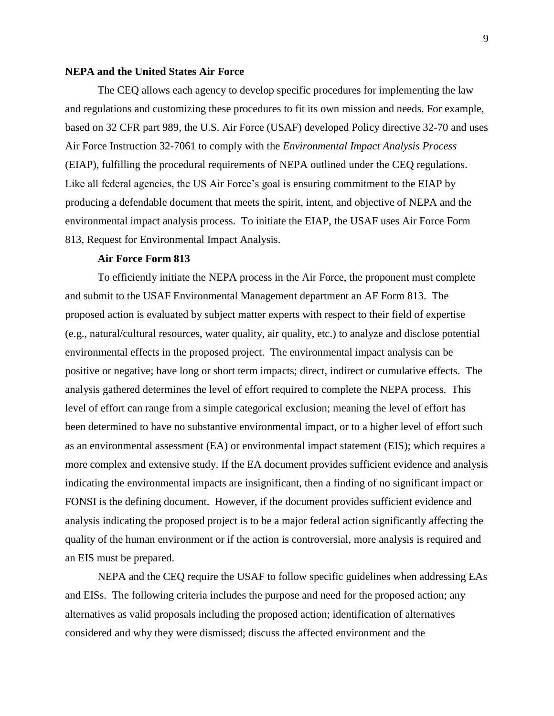### **NEPA and the United States Air Force**

The CEQ allows each agency to develop specific procedures for implementing the law and regulations and customizing these procedures to fit its own mission and needs. For example, based on 32 CFR part 989, the U.S. Air Force (USAF) developed Policy directive 32-70 and uses Air Force Instruction 32-7061 to comply with the *Environmental Impact Analysis Process* (EIAP), fulfilling the procedural requirements of NEPA outlined under the CEQ regulations. Like all federal agencies, the US Air Force's goal is ensuring commitment to the EIAP by producing a defendable document that meets the spirit, intent, and objective of NEPA and the environmental impact analysis process. To initiate the EIAP, the USAF uses Air Force Form 813, Request for Environmental Impact Analysis.

## **Air Force Form 813**

To efficiently initiate the NEPA process in the Air Force, the proponent must complete and submit to the USAF Environmental Management department an AF Form 813. The proposed action is evaluated by subject matter experts with respect to their field of expertise (e.g., natural/cultural resources, water quality, air quality, etc.) to analyze and disclose potential environmental effects in the proposed project. The environmental impact analysis can be positive or negative; have long or short term impacts; direct, indirect or cumulative effects. The analysis gathered determines the level of effort required to complete the NEPA process. This level of effort can range from a simple categorical exclusion; meaning the level of effort has been determined to have no substantive environmental impact, or to a higher level of effort such as an environmental assessment (EA) or environmental impact statement (EIS); which requires a more complex and extensive study. If the EA document provides sufficient evidence and analysis indicating the environmental impacts are insignificant, then a finding of no significant impact or FONSI is the defining document. However, if the document provides sufficient evidence and analysis indicating the proposed project is to be a major federal action significantly affecting the quality of the human environment or if the action is controversial, more analysis is required and an EIS must be prepared.

NEPA and the CEQ require the USAF to follow specific guidelines when addressing EAs and EISs. The following criteria includes the purpose and need for the proposed action; any alternatives as valid proposals including the proposed action; identification of alternatives considered and why they were dismissed; discuss the affected environment and the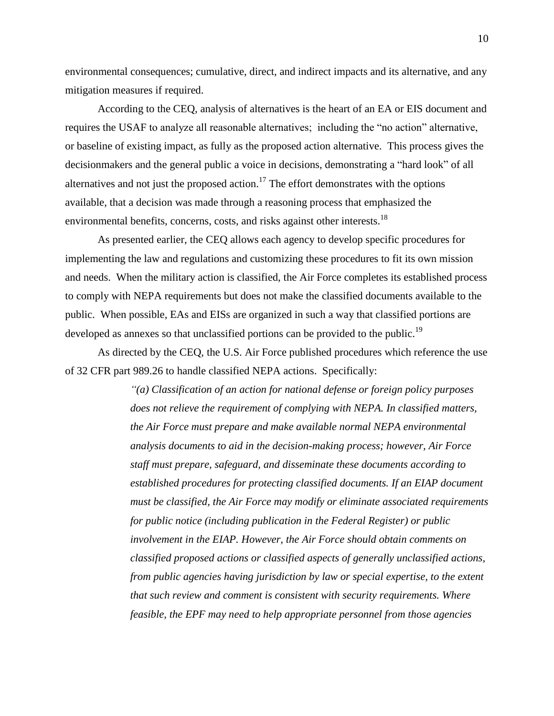environmental consequences; cumulative, direct, and indirect impacts and its alternative, and any mitigation measures if required.

According to the CEQ, analysis of alternatives is the heart of an EA or EIS document and requires the USAF to analyze all reasonable alternatives; including the "no action" alternative, or baseline of existing impact, as fully as the proposed action alternative. This process gives the decisionmakers and the general public a voice in decisions, demonstrating a "hard look" of all alternatives and not just the proposed action.<sup>17</sup> The effort demonstrates with the options available, that a decision was made through a reasoning process that emphasized the environmental benefits, concerns, costs, and risks against other interests.<sup>18</sup>

As presented earlier, the CEQ allows each agency to develop specific procedures for implementing the law and regulations and customizing these procedures to fit its own mission and needs. When the military action is classified, the Air Force completes its established process to comply with NEPA requirements but does not make the classified documents available to the public. When possible, EAs and EISs are organized in such a way that classified portions are developed as annexes so that unclassified portions can be provided to the public.<sup>19</sup>

As directed by the CEQ, the U.S. Air Force published procedures which reference the use of 32 CFR part 989.26 to handle classified NEPA actions. Specifically:

> *"(a) Classification of an action for national defense or foreign policy purposes does not relieve the requirement of complying with NEPA. In classified matters, the Air Force must prepare and make available normal NEPA environmental analysis documents to aid in the decision-making process; however, Air Force staff must prepare, safeguard, and disseminate these documents according to established procedures for protecting classified documents. If an EIAP document must be classified, the Air Force may modify or eliminate associated requirements for public notice (including publication in the Federal Register) or public involvement in the EIAP. However, the Air Force should obtain comments on classified proposed actions or classified aspects of generally unclassified actions, from public agencies having jurisdiction by law or special expertise, to the extent that such review and comment is consistent with security requirements. Where feasible, the EPF may need to help appropriate personnel from those agencies*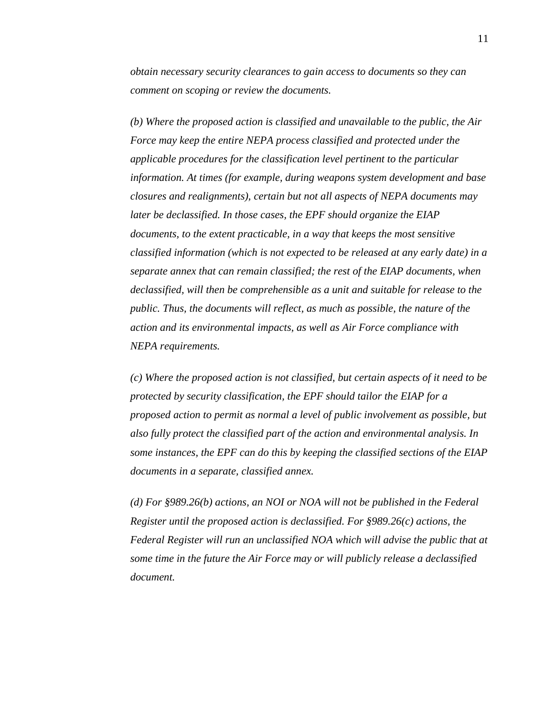*obtain necessary security clearances to gain access to documents so they can comment on scoping or review the documents.*

*(b) Where the proposed action is classified and unavailable to the public, the Air Force may keep the entire NEPA process classified and protected under the applicable procedures for the classification level pertinent to the particular information. At times (for example, during weapons system development and base closures and realignments), certain but not all aspects of NEPA documents may later be declassified. In those cases, the EPF should organize the EIAP documents, to the extent practicable, in a way that keeps the most sensitive classified information (which is not expected to be released at any early date) in a separate annex that can remain classified; the rest of the EIAP documents, when declassified, will then be comprehensible as a unit and suitable for release to the public. Thus, the documents will reflect, as much as possible, the nature of the action and its environmental impacts, as well as Air Force compliance with NEPA requirements.*

*(c) Where the proposed action is not classified, but certain aspects of it need to be protected by security classification, the EPF should tailor the EIAP for a proposed action to permit as normal a level of public involvement as possible, but also fully protect the classified part of the action and environmental analysis. In some instances, the EPF can do this by keeping the classified sections of the EIAP documents in a separate, classified annex.*

*(d) For §989.26(b) actions, an NOI or NOA will not be published in the Federal Register until the proposed action is declassified. For §989.26(c) actions, the Federal Register will run an unclassified NOA which will advise the public that at some time in the future the Air Force may or will publicly release a declassified document.*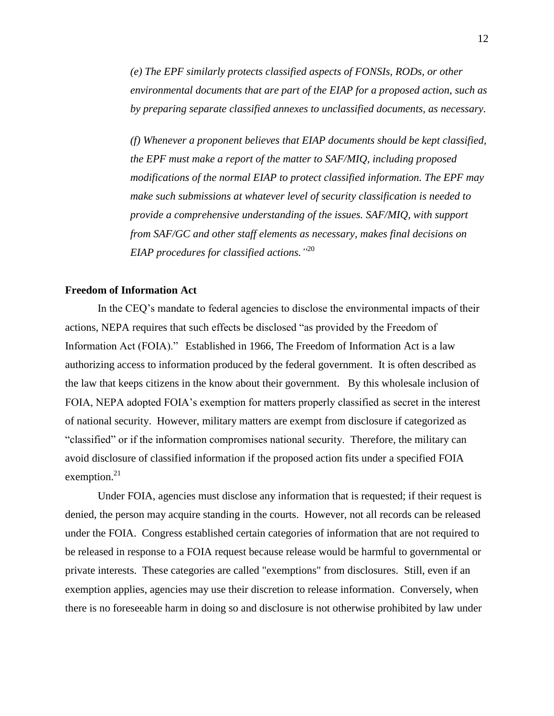*(e) The EPF similarly protects classified aspects of FONSIs, RODs, or other environmental documents that are part of the EIAP for a proposed action, such as by preparing separate classified annexes to unclassified documents, as necessary.*

*(f) Whenever a proponent believes that EIAP documents should be kept classified, the EPF must make a report of the matter to SAF/MIQ, including proposed modifications of the normal EIAP to protect classified information. The EPF may make such submissions at whatever level of security classification is needed to provide a comprehensive understanding of the issues. SAF/MIQ, with support from SAF/GC and other staff elements as necessary, makes final decisions on EIAP procedures for classified actions."* 20

## **Freedom of Information Act**

In the CEQ's mandate to federal agencies to disclose the environmental impacts of their actions, NEPA requires that such effects be disclosed "as provided by the Freedom of Information Act (FOIA)." Established in 1966, The Freedom of Information Act is a law authorizing access to information produced by the federal government. It is often described as the law that keeps citizens in the know about their government. By this wholesale inclusion of FOIA, NEPA adopted FOIA's exemption for matters properly classified as secret in the interest of national security. However, military matters are exempt from disclosure if categorized as "classified" or if the information compromises national security. Therefore, the military can avoid disclosure of classified information if the proposed action fits under a specified FOIA exemption.<sup>21</sup>

Under FOIA, agencies must disclose any information that is requested; if their request is denied, the person may acquire standing in the courts. However, not all records can be released under the FOIA. Congress established certain categories of information that are not required to be released in response to a FOIA request because release would be harmful to governmental or private interests. These categories are called "exemptions" from disclosures. Still, even if an exemption applies, agencies may use their discretion to release information. Conversely, when there is no foreseeable harm in doing so and disclosure is not otherwise prohibited by law under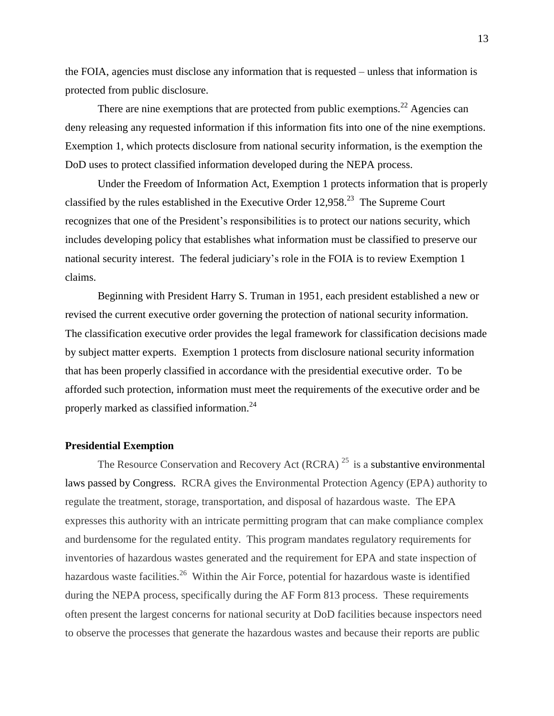the FOIA, agencies must disclose any information that is requested – unless that information is protected from public disclosure.

There are nine exemptions that are protected from public exemptions.<sup>22</sup> Agencies can deny releasing any requested information if this information fits into one of the nine exemptions. Exemption 1, which protects disclosure from national security information, is the exemption the DoD uses to protect classified information developed during the NEPA process.

Under the Freedom of Information Act, Exemption 1 protects information that is properly classified by the rules established in the Executive Order  $12,958$ <sup>23</sup> The Supreme Court recognizes that one of the President's responsibilities is to protect our nations security, which includes developing policy that establishes what information must be classified to preserve our national security interest. The federal judiciary's role in the FOIA is to review Exemption 1 claims.

Beginning with President Harry S. Truman in 1951, each president established a new or revised the current executive order governing the protection of national security information. The classification executive order provides the legal framework for classification decisions made by subject matter experts. Exemption 1 protects from disclosure national security information that has been properly classified in accordance with the presidential executive order. To be afforded such protection, information must meet the requirements of the executive order and be properly marked as classified information.<sup>24</sup>

#### **Presidential Exemption**

The Resource Conservation and Recovery Act (RCRA)<sup>25</sup> is a substantive environmental laws passed by Congress. RCRA gives the Environmental Protection Agency (EPA) authority to regulate the treatment, storage, transportation, and disposal of hazardous waste. The EPA expresses this authority with an intricate permitting program that can make compliance complex and burdensome for the regulated entity. This program mandates regulatory requirements for inventories of hazardous wastes generated and the requirement for EPA and state inspection of hazardous waste facilities.<sup>26</sup> Within the Air Force, potential for hazardous waste is identified during the NEPA process, specifically during the AF Form 813 process. These requirements often present the largest concerns for national security at DoD facilities because inspectors need to observe the processes that generate the hazardous wastes and because their reports are public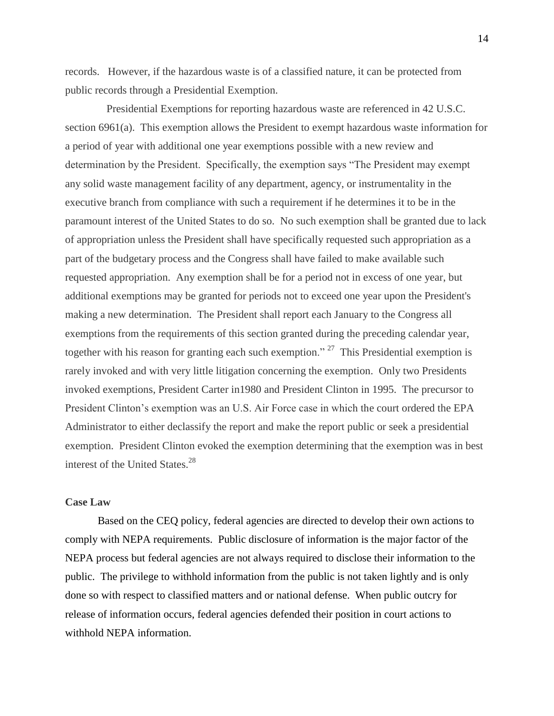records. However, if the hazardous waste is of a classified nature, it can be protected from public records through a Presidential Exemption.

Presidential Exemptions for reporting hazardous waste are referenced in 42 U.S.C. section 6961(a). This exemption allows the President to exempt hazardous waste information for a period of year with additional one year exemptions possible with a new review and determination by the President. Specifically, the exemption says "The President may exempt any solid waste management facility of any department, agency, or instrumentality in the executive branch from compliance with such a requirement if he determines it to be in the paramount interest of the United States to do so. No such exemption shall be granted due to lack of appropriation unless the President shall have specifically requested such appropriation as a part of the budgetary process and the Congress shall have failed to make available such requested appropriation. Any exemption shall be for a period not in excess of one year, but additional exemptions may be granted for periods not to exceed one year upon the President's making a new determination. The President shall report each January to the Congress all exemptions from the requirements of this section granted during the preceding calendar year, together with his reason for granting each such exemption."<sup>27</sup> This Presidential exemption is rarely invoked and with very little litigation concerning the exemption. Only two Presidents invoked exemptions, President Carter in1980 and President Clinton in 1995. The precursor to President Clinton's exemption was an U.S. Air Force case in which the court ordered the EPA Administrator to either declassify the report and make the report public or seek a presidential exemption. President Clinton evoked the exemption determining that the exemption was in best interest of the United States.<sup>28</sup>

## **Case Law**

Based on the CEQ policy, federal agencies are directed to develop their own actions to comply with NEPA requirements. Public disclosure of information is the major factor of the NEPA process but federal agencies are not always required to disclose their information to the public. The privilege to withhold information from the public is not taken lightly and is only done so with respect to classified matters and or national defense. When public outcry for release of information occurs, federal agencies defended their position in court actions to withhold NEPA information.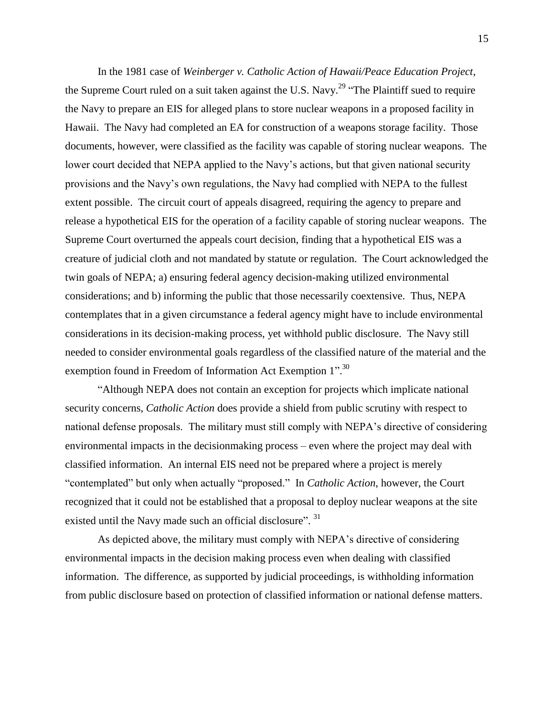In the 1981 case of *Weinberger v. Catholic Action of Hawaii/Peace Education Project*, the Supreme Court ruled on a suit taken against the U.S. Navy.<sup>29</sup> "The Plaintiff sued to require the Navy to prepare an EIS for alleged plans to store nuclear weapons in a proposed facility in Hawaii. The Navy had completed an EA for construction of a weapons storage facility. Those documents, however, were classified as the facility was capable of storing nuclear weapons. The lower court decided that NEPA applied to the Navy's actions, but that given national security provisions and the Navy's own regulations, the Navy had complied with NEPA to the fullest extent possible. The circuit court of appeals disagreed, requiring the agency to prepare and release a hypothetical EIS for the operation of a facility capable of storing nuclear weapons. The Supreme Court overturned the appeals court decision, finding that a hypothetical EIS was a creature of judicial cloth and not mandated by statute or regulation. The Court acknowledged the twin goals of NEPA; a) ensuring federal agency decision-making utilized environmental considerations; and b) informing the public that those necessarily coextensive. Thus, NEPA contemplates that in a given circumstance a federal agency might have to include environmental considerations in its decision-making process, yet withhold public disclosure. The Navy still needed to consider environmental goals regardless of the classified nature of the material and the exemption found in Freedom of Information Act Exemption 1".<sup>30</sup>

"Although NEPA does not contain an exception for projects which implicate national security concerns, *Catholic Action* does provide a shield from public scrutiny with respect to national defense proposals. The military must still comply with NEPA's directive of considering environmental impacts in the decisionmaking process – even where the project may deal with classified information. An internal EIS need not be prepared where a project is merely "contemplated" but only when actually "proposed." In *Catholic Action*, however, the Court recognized that it could not be established that a proposal to deploy nuclear weapons at the site existed until the Navy made such an official disclosure". <sup>31</sup>

As depicted above, the military must comply with NEPA's directive of considering environmental impacts in the decision making process even when dealing with classified information. The difference, as supported by judicial proceedings, is withholding information from public disclosure based on protection of classified information or national defense matters.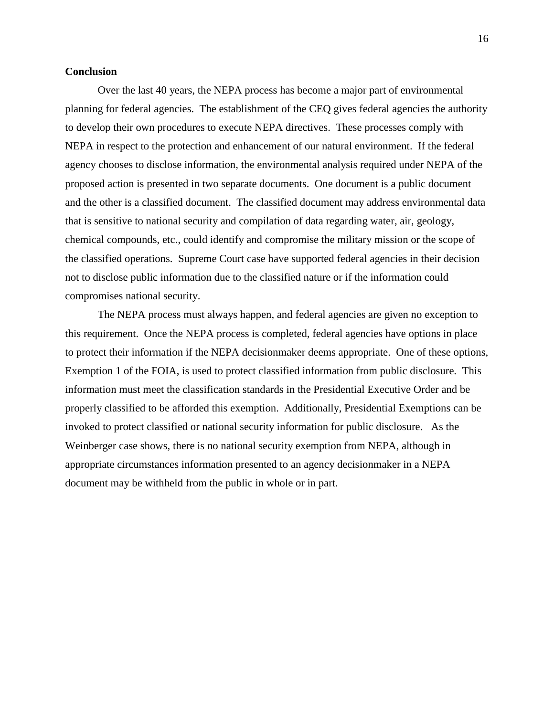#### **Conclusion**

Over the last 40 years, the NEPA process has become a major part of environmental planning for federal agencies. The establishment of the CEQ gives federal agencies the authority to develop their own procedures to execute NEPA directives. These processes comply with NEPA in respect to the protection and enhancement of our natural environment. If the federal agency chooses to disclose information, the environmental analysis required under NEPA of the proposed action is presented in two separate documents. One document is a public document and the other is a classified document. The classified document may address environmental data that is sensitive to national security and compilation of data regarding water, air, geology, chemical compounds, etc., could identify and compromise the military mission or the scope of the classified operations. Supreme Court case have supported federal agencies in their decision not to disclose public information due to the classified nature or if the information could compromises national security.

The NEPA process must always happen, and federal agencies are given no exception to this requirement. Once the NEPA process is completed, federal agencies have options in place to protect their information if the NEPA decisionmaker deems appropriate. One of these options, Exemption 1 of the FOIA, is used to protect classified information from public disclosure. This information must meet the classification standards in the Presidential Executive Order and be properly classified to be afforded this exemption. Additionally, Presidential Exemptions can be invoked to protect classified or national security information for public disclosure. As the Weinberger case shows, there is no national security exemption from NEPA, although in appropriate circumstances information presented to an agency decisionmaker in a NEPA document may be withheld from the public in whole or in part.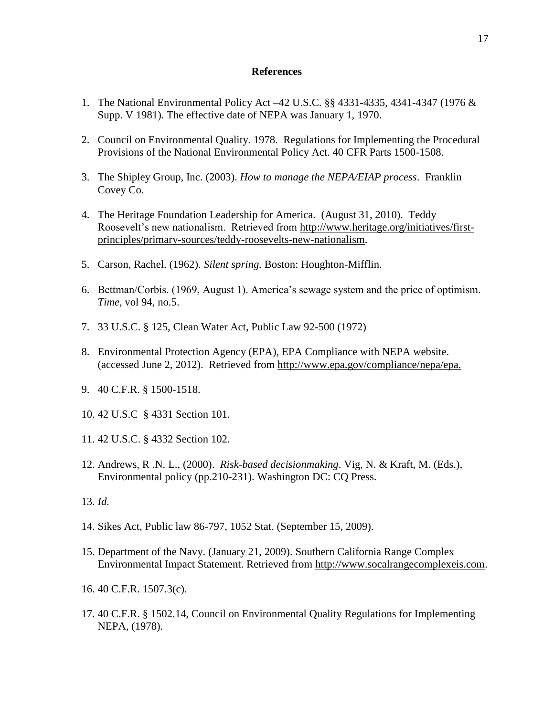#### **References**

- 1. The National Environmental Policy Act –42 U.S.C. §§ 4331-4335, 4341-4347 (1976 & Supp. V 1981). The effective date of NEPA was January 1, 1970.
- 2. Council on Environmental Quality. 1978. Regulations for Implementing the Procedural Provisions of the National Environmental Policy Act. 40 CFR Parts 1500-1508.
- 3. The Shipley Group, Inc. (2003). *How to manage the NEPA/EIAP process*. Franklin Covey Co.
- 4. The Heritage Foundation Leadership for America. (August 31, 2010). Teddy Roosevelt's new nationalism. Retrieved from [http://www.heritage.org/initiatives/first](http://www.heritage.org/initiatives/first-principles/primary-sources/teddy-roosevelts-new-nationalism)[principles/primary-sources/teddy-roosevelts-new-nationalism.](http://www.heritage.org/initiatives/first-principles/primary-sources/teddy-roosevelts-new-nationalism)
- 5. Carson, Rachel. (1962)*. Silent spring.* Boston: Houghton-Mifflin.
- 6. Bettman/Corbis. (1969, August 1). America's sewage system and the price of optimism. *Time,* vol 94, no.5.
- 7. 33 U.S.C. § 125, Clean Water Act, Public Law 92-500 (1972)
- 8. Environmental Protection Agency (EPA), EPA Compliance with NEPA website. (accessed June 2, 2012). Retrieved from [http://www.epa.gov/compliance/nepa/epa.](http://www.epa.gov/compliance/nepa/epa)
- 9. 40 C.F.R. § 1500-1518.
- 10. 42 U.S.C § 4331 Section 101.
- 11. 42 U.S.C. § 4332 Section 102.
- 12. Andrews, R .N. L., (2000). *Risk-based decisionmaking*. Vig, N. & Kraft, M. (Eds.), Environmental policy (pp.210-231). Washington DC: CQ Press.
- 13. *Id.*
- 14. Sikes Act, Public law 86-797, 1052 Stat. (September 15, 2009).
- 15. Department of the Navy. (January 21, 2009). Southern California Range Complex Environmental Impact Statement. Retrieved from [http://www.socalrangecomplexeis.com.](http://www.socalrangecomplexeis.com/)
- 16. 40 C.F.R. 1507.3(c).
- 17. 40 C.F.R. § 1502.14, Council on Environmental Quality Regulations for Implementing NEPA, (1978).